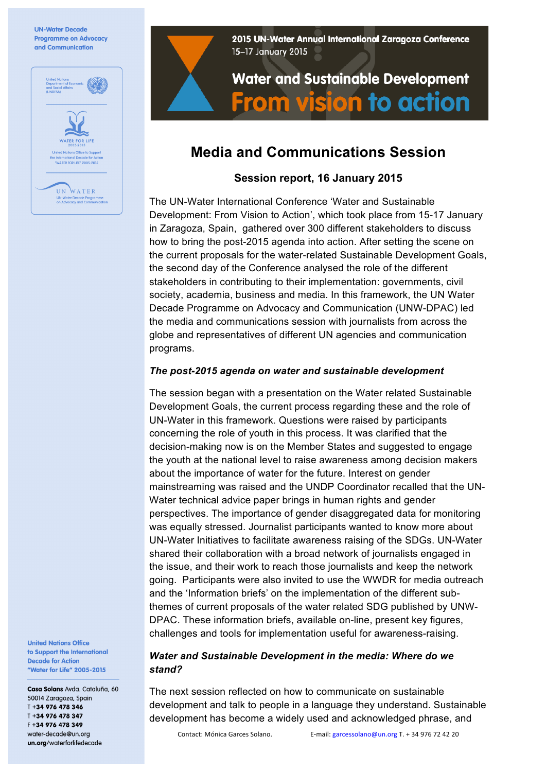

2015 UN-Water Annual International Zaragoza Conference 15-17 January 2015

# **Water and Sustainable Development From vision to action**

## **Media and Communications Session**

### **Session report, 16 January 2015**

The UN-Water International Conference 'Water and Sustainable Development: From Vision to Action', which took place from 15-17 January in Zaragoza, Spain, gathered over 300 different stakeholders to discuss how to bring the post-2015 agenda into action. After setting the scene on the current proposals for the water-related Sustainable Development Goals, the second day of the Conference analysed the role of the different stakeholders in contributing to their implementation: governments, civil society, academia, business and media. In this framework, the UN Water Decade Programme on Advocacy and Communication (UNW-DPAC) led the media and communications session with journalists from across the globe and representatives of different UN agencies and communication programs.

#### *The post-2015 agenda on water and sustainable development*

The session began with a presentation on the Water related Sustainable Development Goals, the current process regarding these and the role of UN-Water in this framework. Questions were raised by participants concerning the role of youth in this process. It was clarified that the decision-making now is on the Member States and suggested to engage the youth at the national level to raise awareness among decision makers about the importance of water for the future. Interest on gender mainstreaming was raised and the UNDP Coordinator recalled that the UN-Water technical advice paper brings in human rights and gender perspectives. The importance of gender disaggregated data for monitoring was equally stressed. Journalist participants wanted to know more about UN-Water Initiatives to facilitate awareness raising of the SDGs. UN-Water shared their collaboration with a broad network of journalists engaged in the issue, and their work to reach those journalists and keep the network going. Participants were also invited to use the WWDR for media outreach and the 'Information briefs' on the implementation of the different subthemes of current proposals of the water related SDG published by UNW-DPAC. These information briefs, available on-line, present key figures, challenges and tools for implementation useful for awareness-raising.

#### *Water and Sustainable Development in the media: Where do we stand?*

The next session reflected on how to communicate on sustainable development and talk to people in a language they understand. Sustainable development has become a widely used and acknowledged phrase, and

**United Nations Office** to Support the International **Decade for Action** "Water for Life" 2005-2015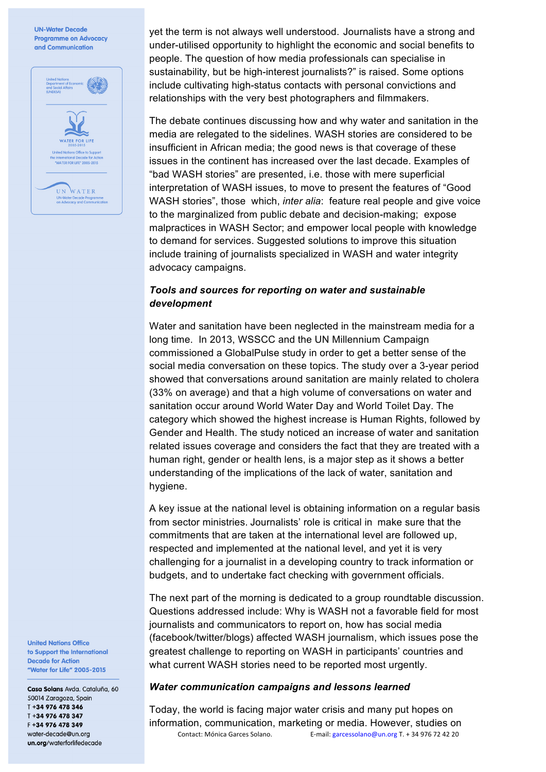

yet the term is not always well understood. Journalists have a strong and under-utilised opportunity to highlight the economic and social benefits to people. The question of how media professionals can specialise in sustainability, but be high-interest journalists?" is raised. Some options include cultivating high-status contacts with personal convictions and relationships with the very best photographers and filmmakers.

The debate continues discussing how and why water and sanitation in the media are relegated to the sidelines. WASH stories are considered to be insufficient in African media; the good news is that coverage of these issues in the continent has increased over the last decade. Examples of "bad WASH stories" are presented, i.e. those with mere superficial interpretation of WASH issues, to move to present the features of "Good WASH stories", those which, *inter alia*: feature real people and give voice to the marginalized from public debate and decision-making; expose malpractices in WASH Sector; and empower local people with knowledge to demand for services. Suggested solutions to improve this situation include training of journalists specialized in WASH and water integrity advocacy campaigns.

#### *Tools and sources for reporting on water and sustainable development*

Water and sanitation have been neglected in the mainstream media for a long time. In 2013, WSSCC and the UN Millennium Campaign commissioned a GlobalPulse study in order to get a better sense of the social media conversation on these topics. The study over a 3-year period showed that conversations around sanitation are mainly related to cholera (33% on average) and that a high volume of conversations on water and sanitation occur around World Water Day and World Toilet Day. The category which showed the highest increase is Human Rights, followed by Gender and Health. The study noticed an increase of water and sanitation related issues coverage and considers the fact that they are treated with a human right, gender or health lens, is a major step as it shows a better understanding of the implications of the lack of water, sanitation and hygiene.

A key issue at the national level is obtaining information on a regular basis from sector ministries. Journalists' role is critical in make sure that the commitments that are taken at the international level are followed up, respected and implemented at the national level, and yet it is very challenging for a journalist in a developing country to track information or budgets, and to undertake fact checking with government officials.

The next part of the morning is dedicated to a group roundtable discussion. Questions addressed include: Why is WASH not a favorable field for most journalists and communicators to report on, how has social media (facebook/twitter/blogs) affected WASH journalism, which issues pose the greatest challenge to reporting on WASH in participants' countries and what current WASH stories need to be reported most urgently.

#### *Water communication campaigns and lessons learned*

Contact: Mónica Garces Solano. E-mail: garcessolano@un.org T. + 34 976 72 42 20 Today, the world is facing major water crisis and many put hopes on information, communication, marketing or media. However, studies on

**United Nations Office** to Support the International **Decade for Action** "Water for Life" 2005-2015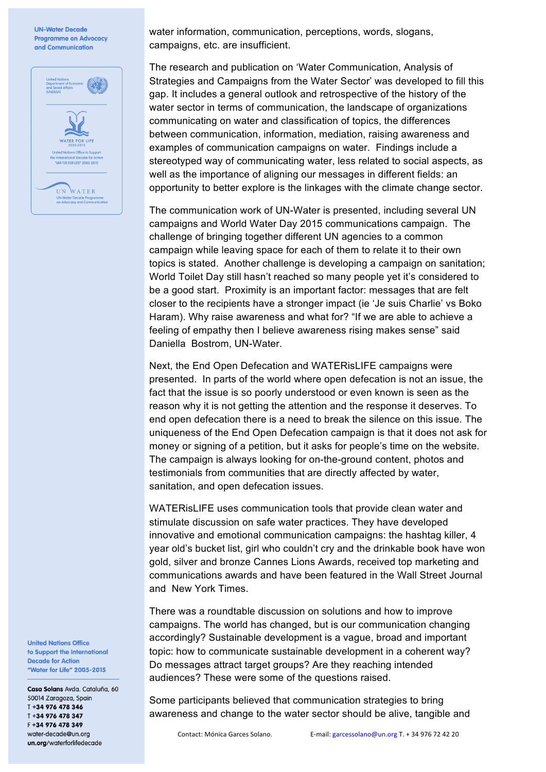

water information, communication, perceptions, words, slogans, campaigns, etc. are insufficient.

The research and publication on 'Water Communication, Analysis of Strategies and Campaigns from the Water Sector' was developed to fill this gap. It includes a general outlook and retrospective of the history of the water sector in terms of communication, the landscape of organizations communicating on water and classification of topics, the differences between communication, information, mediation, raising awareness and examples of communication campaigns on water. Findings include a stereotyped way of communicating water, less related to social aspects, as well as the importance of aligning our messages in different fields: an opportunity to better explore is the linkages with the climate change sector.

The communication work of UN-Water is presented, including several UN campaigns and World Water Day 2015 communications campaign. The challenge of bringing together different UN agencies to a common campaign while leaving space for each of them to relate it to their own topics is stated. Another challenge is developing a campaign on sanitation; World Toilet Day still hasn't reached so many people yet it's considered to be a good start. Proximity is an important factor: messages that are felt closer to the recipients have a stronger impact (ie 'Je suis Charlie' vs Boko Haram). Why raise awareness and what for? "If we are able to achieve a feeling of empathy then I believe awareness rising makes sense" said Daniella Bostrom, UN-Water.

Next, the End Open Defecation and WATERisLIFE campaigns were presented. In parts of the world where open defecation is not an issue, the fact that the issue is so poorly understood or even known is seen as the reason why it is not getting the attention and the response it deserves. To end open defecation there is a need to break the silence on this issue. The uniqueness of the End Open Defecation campaign is that it does not ask for money or signing of a petition, but it asks for people's time on the website. The campaign is always looking for on-the-ground content, photos and testimonials from communities that are directly affected by water, sanitation, and open defecation issues.

WATERisLIFE uses communication tools that provide clean water and stimulate discussion on safe water practices. They have developed innovative and emotional communication campaigns: the hashtag killer, 4 year old's bucket list, girl who couldn't cry and the drinkable book have won gold, silver and bronze Cannes Lions Awards, received top marketing and communications awards and have been featured in the Wall Street Journal and New York Times.

There was a roundtable discussion on solutions and how to improve campaigns. The world has changed, but is our communication changing accordingly? Sustainable development is a vague, broad and important topic: how to communicate sustainable development in a coherent way? Do messages attract target groups? Are they reaching intended audiences? These were some of the questions raised.

Some participants believed that communication strategies to bring awareness and change to the water sector should be alive, tangible and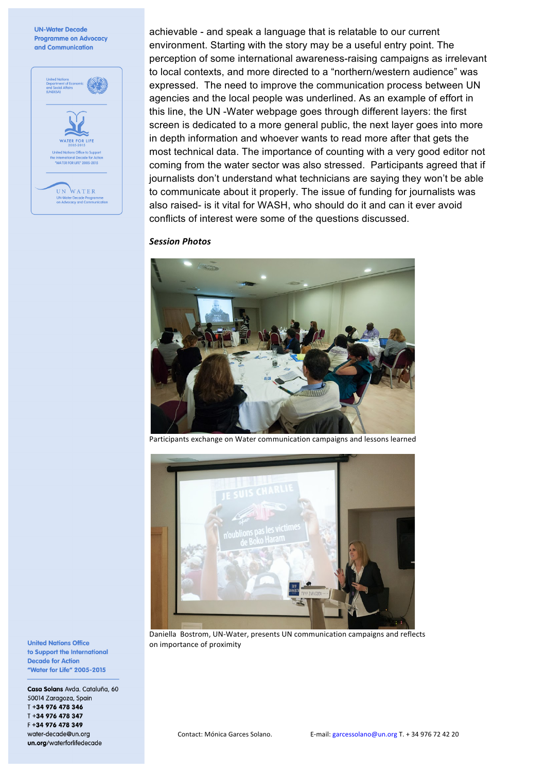

achievable - and speak a language that is relatable to our current environment. Starting with the story may be a useful entry point. The perception of some international awareness-raising campaigns as irrelevant to local contexts, and more directed to a "northern/western audience" was expressed. The need to improve the communication process between UN agencies and the local people was underlined. As an example of effort in this line, the UN -Water webpage goes through different layers: the first screen is dedicated to a more general public, the next layer goes into more in depth information and whoever wants to read more after that gets the most technical data. The importance of counting with a very good editor not coming from the water sector was also stressed. Participants agreed that if journalists don't understand what technicians are saying they won't be able to communicate about it properly. The issue of funding for journalists was also raised- is it vital for WASH, who should do it and can it ever avoid conflicts of interest were some of the questions discussed.

#### *Session Photos*



Participants exchange on Water communication campaigns and lessons learned



Daniella Bostrom, UN-Water, presents UN communication campaigns and reflects on importance of proximity

**United Nations Office** to Support the International **Decade for Action** "Water for Life" 2005-2015